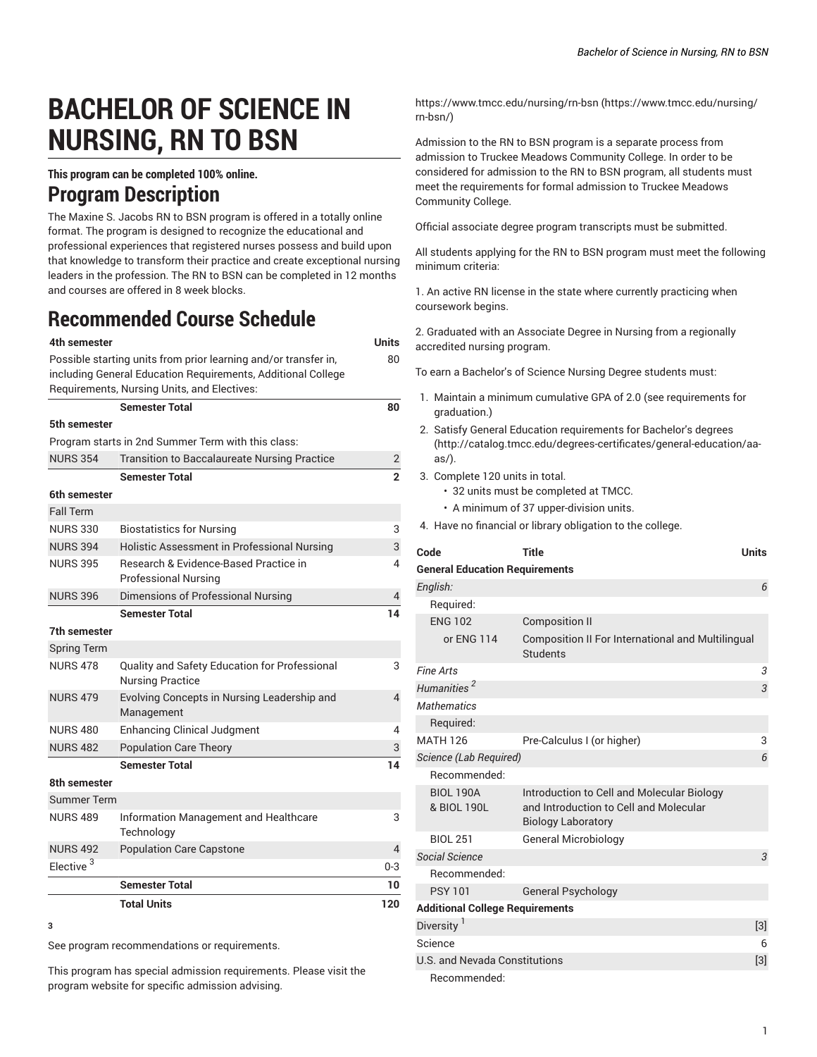# **BACHELOR OF SCIENCE IN NURSING, RN TO BSN**

### **This program can be completed 100% online.**

## **Program Description**

The Maxine S. Jacobs RN to BSN program is offered in a totally online format. The program is designed to recognize the educational and professional experiences that registered nurses possess and build upon that knowledge to transform their practice and create exceptional nursing leaders in the profession. The RN to BSN can be completed in 12 months and courses are offered in 8 week blocks.

# **Recommended Course Schedule**

| 4th semester                                                    |                                                                          | Units                    |  |  |  |
|-----------------------------------------------------------------|--------------------------------------------------------------------------|--------------------------|--|--|--|
| Possible starting units from prior learning and/or transfer in, |                                                                          |                          |  |  |  |
| including General Education Requirements, Additional College    |                                                                          |                          |  |  |  |
|                                                                 | Requirements, Nursing Units, and Electives:                              |                          |  |  |  |
|                                                                 | <b>Semester Total</b>                                                    | 80                       |  |  |  |
| 5th semester                                                    |                                                                          |                          |  |  |  |
| Program starts in 2nd Summer Term with this class:              |                                                                          |                          |  |  |  |
| <b>NURS 354</b>                                                 | <b>Transition to Baccalaureate Nursing Practice</b>                      | 2                        |  |  |  |
|                                                                 | <b>Semester Total</b>                                                    | $\overline{2}$           |  |  |  |
| 6th semester                                                    |                                                                          |                          |  |  |  |
| <b>Fall Term</b>                                                |                                                                          |                          |  |  |  |
| <b>NURS 330</b>                                                 | <b>Biostatistics for Nursing</b>                                         | 3                        |  |  |  |
| <b>NURS 394</b>                                                 | Holistic Assessment in Professional Nursing                              | 3                        |  |  |  |
| <b>NURS 395</b>                                                 | Research & Evidence-Based Practice in                                    | 4                        |  |  |  |
|                                                                 | <b>Professional Nursing</b>                                              |                          |  |  |  |
| <b>NURS 396</b>                                                 | Dimensions of Professional Nursing                                       | 4                        |  |  |  |
|                                                                 | <b>Semester Total</b>                                                    | 14                       |  |  |  |
| 7th semester                                                    |                                                                          |                          |  |  |  |
| <b>Spring Term</b>                                              |                                                                          |                          |  |  |  |
| <b>NURS 478</b>                                                 | Quality and Safety Education for Professional<br><b>Nursing Practice</b> | 3                        |  |  |  |
| <b>NURS 479</b>                                                 | Evolving Concepts in Nursing Leadership and<br>Management                | $\overline{\mathcal{L}}$ |  |  |  |
| <b>NURS 480</b>                                                 | <b>Enhancing Clinical Judgment</b>                                       | 4                        |  |  |  |
| <b>NURS 482</b>                                                 | <b>Population Care Theory</b>                                            | 3                        |  |  |  |
|                                                                 | <b>Semester Total</b>                                                    | 14                       |  |  |  |
| 8th semester                                                    |                                                                          |                          |  |  |  |
| <b>Summer Term</b>                                              |                                                                          |                          |  |  |  |
| <b>NURS 489</b>                                                 | Information Management and Healthcare<br>Technology                      | 3                        |  |  |  |
| <b>NURS 492</b>                                                 | <b>Population Care Capstone</b>                                          | $\overline{4}$           |  |  |  |
| Elective <sup>3</sup>                                           |                                                                          | $0 - 3$                  |  |  |  |
|                                                                 | <b>Semester Total</b>                                                    | 10                       |  |  |  |
|                                                                 | <b>Total Units</b>                                                       | 120                      |  |  |  |

**<sup>3</sup>**

See program recommendations or requirements.

This program has special admission requirements. Please visit the program website for specific admission advising.

[https://www.tmcc.edu/nursing/rn-bsn \(https://www.tmcc.edu/nursing/](https://www.tmcc.edu/nursing/rn-bsn/) [rn-bsn/](https://www.tmcc.edu/nursing/rn-bsn/))

Admission to the RN to BSN program is a separate process from admission to Truckee Meadows Community College. In order to be considered for admission to the RN to BSN program, all students must meet the requirements for formal admission to Truckee Meadows Community College.

Official associate degree program transcripts must be submitted.

All students applying for the RN to BSN program must meet the following minimum criteria:

1. An active RN license in the state where currently practicing when coursework begins.

2. Graduated with an Associate Degree in Nursing from a regionally accredited nursing program.

To earn a Bachelor's of Science Nursing Degree students must:

- 1. Maintain a minimum cumulative GPA of 2.0 (see requirements for graduation.)
- 2. Satisfy General Education [requirements](http://catalog.tmcc.edu/degrees-certificates/general-education/aa-as/) for Bachelor's degrees [\(http://catalog.tmcc.edu/degrees-certificates/general-education/aa](http://catalog.tmcc.edu/degrees-certificates/general-education/aa-as/)[as/](http://catalog.tmcc.edu/degrees-certificates/general-education/aa-as/)).
- 3. Complete 120 units in total.
	- 32 units must be completed at TMCC.
	- A minimum of 37 upper-division units.
- 4. Have no financial or library obligation to the college.

| Code                                   | <b>Title</b>                                                                                                      | <b>Units</b>   |
|----------------------------------------|-------------------------------------------------------------------------------------------------------------------|----------------|
| <b>General Education Requirements</b>  |                                                                                                                   |                |
| English:                               |                                                                                                                   | 6              |
| Required:                              |                                                                                                                   |                |
| <b>ENG 102</b>                         | <b>Composition II</b>                                                                                             |                |
| or ENG 114                             | <b>Composition II For International and Multilingual</b><br><b>Students</b>                                       |                |
| <b>Fine Arts</b>                       |                                                                                                                   | 3              |
| Humanities <sup>2</sup>                |                                                                                                                   | 3              |
| Mathematics                            |                                                                                                                   |                |
| Required:                              |                                                                                                                   |                |
| <b>MATH 126</b>                        | Pre-Calculus I (or higher)                                                                                        | 3              |
| Science (Lab Required)                 |                                                                                                                   | 6              |
| Recommended:                           |                                                                                                                   |                |
| <b>BIOL 190A</b><br>& BIOL 190L        | Introduction to Cell and Molecular Biology<br>and Introduction to Cell and Molecular<br><b>Biology Laboratory</b> |                |
| <b>BIOL 251</b>                        | <b>General Microbiology</b>                                                                                       |                |
| Social Science                         |                                                                                                                   | $\mathfrak{Z}$ |
| Recommended:                           |                                                                                                                   |                |
| <b>PSY 101</b>                         | <b>General Psychology</b>                                                                                         |                |
| <b>Additional College Requirements</b> |                                                                                                                   |                |
| Diversity <sup>1</sup>                 |                                                                                                                   | $[3]$          |
| Science                                |                                                                                                                   | 6              |
| <b>U.S. and Nevada Constitutions</b>   |                                                                                                                   |                |
| Recommended:                           |                                                                                                                   |                |